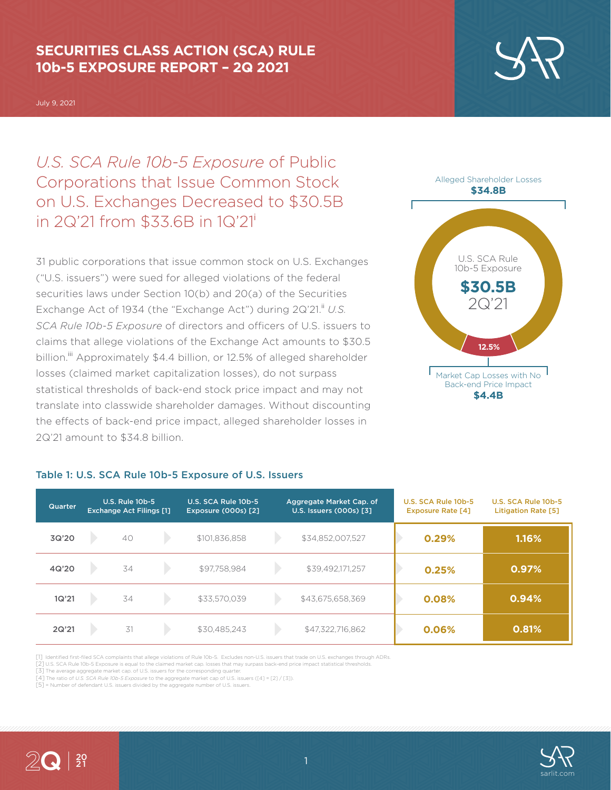# **SECURITIES CLASS ACTION (SCA) RULE 10b-5 EXPOSURE REPORT – 2Q 2021**

July 9, 2021

*U.S. SCA Rule 10b-5 Exposure* of Public Corporations that Issue Common Stock on U.S. Exchanges Decreased to \$30.5B in 2Q'21 from \$33.6B in 1Q'21<sup>i</sup>

31 public corporations that issue common stock on U.S. Exchanges ("U.S. issuers") were sued for alleged violations of the federal securities laws under Section 10(b) and 20(a) of the Securities Exchange Act of 1934 (the "Exchange Act") during 2Q'21.<sup>ii</sup> U.S. *SCA Rule 10b-5 Exposure* of directors and officers of U.S. issuers to claims that allege violations of the Exchange Act amounts to \$30.5 billion.<sup>iii</sup> Approximately \$4.4 billion, or 12.5% of alleged shareholder losses (claimed market capitalization losses), do not surpass statistical thresholds of back-end stock price impact and may not translate into classwide shareholder damages. Without discounting the effects of back-end price impact, alleged shareholder losses in 2Q'21 amount to \$34.8 billion.



| <b>Quarter</b> | <b>U.S. Rule 10b-5</b><br><b>Exchange Act Filings [1]</b> |    | U.S. SCA Rule 10b-5<br><b>Exposure (000s) [2]</b> | Aggregate Market Cap. of<br>U.S. Issuers (000s) [3] |  | U.S. SCA Rule 10b-5<br><b>Exposure Rate [4]</b> | U.S. SCA Rule 10b-5<br><b>Litigation Rate [5]</b> |       |
|----------------|-----------------------------------------------------------|----|---------------------------------------------------|-----------------------------------------------------|--|-------------------------------------------------|---------------------------------------------------|-------|
| 3Q'20          |                                                           | 40 |                                                   | \$101.836.858                                       |  | \$34,852,007,527                                | 0.29%                                             | 1.16% |
| 4Q'20          |                                                           | 34 |                                                   | \$97,758,984                                        |  | \$39,492,171,257                                | 0.25%                                             | 0.97% |
| 1Q'21          |                                                           | 34 |                                                   | \$33,570,039                                        |  | \$43,675,658,369                                | 0.08%                                             | 0.94% |
| 2Q'21          |                                                           | 31 |                                                   | \$30,485,243                                        |  | \$47,322,716,862                                | 0.06%                                             | 0.81% |

#### Table 1: U.S. SCA Rule 10b-5 Exposure of U.S. Issuers

[1] Identified first-filed SCA complaints that allege violations of Rule 10b-5. Excludes non-U.S. issuers that trade on U.S. exchanges through ADRs. [2] U.S. SCA Rule 10b-5 Exposure is equal to the claimed market cap. losses that may surpass back-end price impact statistical thresholds.

[3] The average aggregate market cap. of U.S. issuers for the corresponding quarter.

[4] The ratio of *U.S. SCA Rule 10b-5 Exposure* to the aggregate market cap of U.S. issuers ([4] = [2] / [3]).

[5] = Number of defendant U.S. issuers divided by the aggregate number of U.S. issuers.



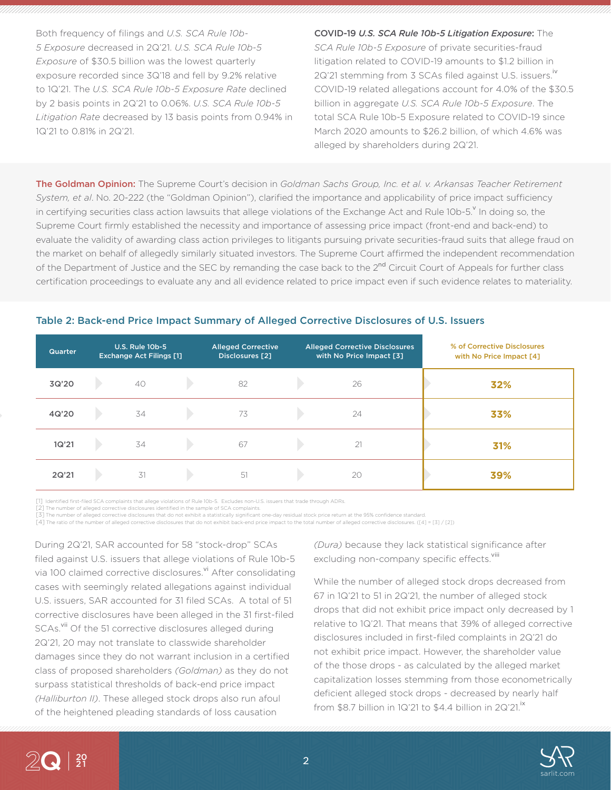Both frequency of filings and *U.S. SCA Rule 10b-5 Exposure* decreased in 2Q'21. *U.S. SCA Rule 10b-5 Exposure* of \$30.5 billion was the lowest quarterly exposure recorded since 3Q'18 and fell by 9.2% relative to 1Q'21. The *U.S. SCA Rule 10b-5 Exposure Rate* declined by 2 basis points in 2Q'21 to 0.06%. *U.S. SCA Rule 10b-5 Litigation Rate* decreased by 13 basis points from 0.94% in 1Q'21 to 0.81% in 2Q'21.

COVID-19 *U.S. SCA Rule 10b-5 Litigation Exposure*: The *SCA Rule 10b-5 Exposure* of private securities-fraud litigation related to COVID-19 amounts to \$1.2 billion in 2Q'21 stemming from 3 SCAs filed against U.S. issuers.<sup>iv</sup> COVID-19 related allegations account for 4.0% of the \$30.5 billion in aggregate *U.S. SCA Rule 10b-5 Exposure*. The total SCA Rule 10b-5 Exposure related to COVID-19 since March 2020 amounts to \$26.2 billion, of which 4.6% was alleged by shareholders during 2Q'21.

The Goldman Opinion: The Supreme Court's decision in *Goldman Sachs Group, Inc. et al. v. Arkansas Teacher Retirement System, et al*. No. 20-222 (the "Goldman Opinion"), clarified the importance and applicability of price impact sufficiency in certifying securities class action lawsuits that allege violations of the Exchange Act and Rule 10b-5. <sup>Y</sup> In doing so, the Supreme Court firmly established the necessity and importance of assessing price impact (front-end and back-end) to evaluate the validity of awarding class action privileges to litigants pursuing private securities-fraud suits that allege fraud on the market on behalf of allegedly similarly situated investors. The Supreme Court affirmed the independent recommendation of the Department of Justice and the SEC by remanding the case back to the 2<sup>nd</sup> Circuit Court of Appeals for further class certification proceedings to evaluate any and all evidence related to price impact even if such evidence relates to materiality.

### Table 2: Back-end Price Impact Summary of Alleged Corrective Disclosures of U.S. Issuers

| <b>Quarter</b> | <b>U.S. Rule 10b-5</b><br><b>Exchange Act Filings [1]</b> |    | <b>Alleged Corrective</b><br>Disclosures [2] | <b>Alleged Corrective Disclosures</b><br>with No Price Impact [3] |  | % of Corrective Disclosures<br>with No Price Impact [4] |  |     |
|----------------|-----------------------------------------------------------|----|----------------------------------------------|-------------------------------------------------------------------|--|---------------------------------------------------------|--|-----|
| 3Q'20          |                                                           | 40 |                                              | 82                                                                |  | 26                                                      |  | 32% |
| 4Q'20          |                                                           | 34 |                                              | 73                                                                |  | 24                                                      |  | 33% |
| 1Q'21          |                                                           | 34 |                                              | 67                                                                |  | 21                                                      |  | 31% |
| 2Q'21          |                                                           | 31 |                                              | 51                                                                |  | 20                                                      |  | 39% |

[1] Identified first-filed SCA complaints that allege violations of Rule 10b-5. Excludes non-U.S. issuers that trade through ADRs.

[2] The number of alleged corrective disclosures identified in the sample of SCA complaints.<br>[3] The number of alleged corrective disclosures that do not exhibit a statistically significant one-day residual stock price ret

[4] The ratio of the number of alleged corrective disclosures that do not exhibit back-end price impact to the total number of alleged corrective disclosures. ([4] = [3] / [2])

During 2Q'21, SAR accounted for 58 "stock-drop" SCAs filed against U.S. issuers that allege violations of Rule 10b-5 via 100 claimed corrective disclosures.<sup>vi</sup> After consolidating cases with seemingly related allegations against individual U.S. issuers, SAR accounted for 31 filed SCAs. A total of 51 corrective disclosures have been alleged in the 31 first-filed SCAs.<sup>vii</sup> Of the 51 corrective disclosures alleged during 2Q'21, 20 may not translate to classwide shareholder damages since they do not warrant inclusion in a certified class of proposed shareholders *(Goldman)* as they do not surpass statistical thresholds of back-end price impact *(Halliburton II)*. These alleged stock drops also run afoul of the heightened pleading standards of loss causation

*(Dura)* because they lack statistical significance after excluding non-company specific effects.<sup>viii</sup>

While the number of alleged stock drops decreased from 67 in 1Q'21 to 51 in 2Q'21, the number of alleged stock drops that did not exhibit price impact only decreased by 1 relative to 1Q'21. That means that 39% of alleged corrective disclosures included in first-filed complaints in 2Q'21 do not exhibit price impact. However, the shareholder value of the those drops - as calculated by the alleged market capitalization losses stemming from those econometrically deficient alleged stock drops - decreased by nearly half from \$8.7 billion in 1Q'21 to \$4.4 billion in  $2Q'21$ .<sup>ix</sup>



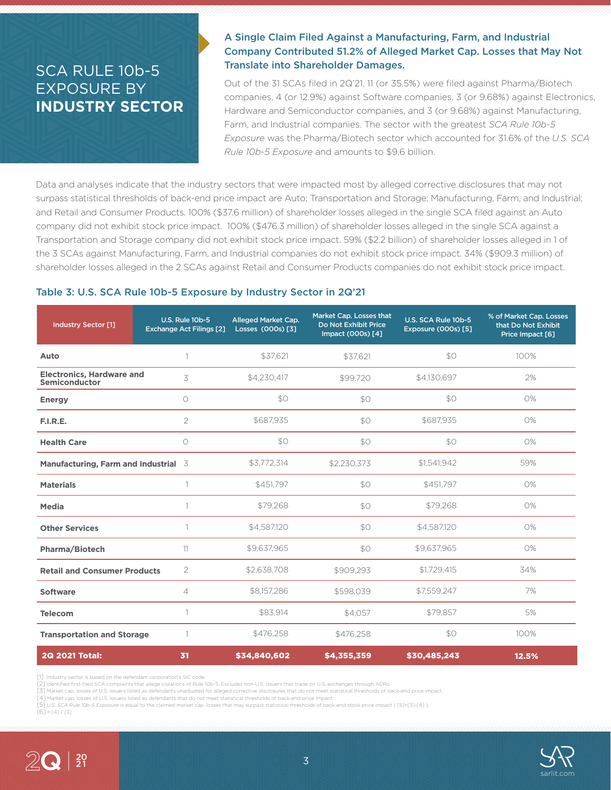# SCA RULE 10b-5 EXPOSURE BY **INDUSTRY SECTOR**

# A Single Claim Filed Against a Manufacturing, Farm, and Industrial Company Contributed 51.2% of Alleged Market Cap. Losses that May Not Translate into Shareholder Damages.

Out of the 31 SCAs filed in 2Q'21, 11 (or 35.5%) were filed against Pharma/Biotech companies, 4 (or 12.9%) against Software companies, 3 (or 9.68%) against Electronics, Hardware and Semiconductor companies, and 3 (or 9.68%) against Manufacturing, Farm, and Industrial companies. The sector with the greatest *SCA Rule 10b-5 Exposure* was the Pharma/Biotech sector which accounted for 31.6% of the *U.S. SCA Rule 10b-5 Exposure* and amounts to \$9.6 billion.

Data and analyses indicate that the industry sectors that were impacted most by alleged corrective disclosures that may not surpass statistical thresholds of back-end price impact are Auto; Transportation and Storage; Manufacturing, Farm, and Industrial; and Retail and Consumer Products. 100% (\$37.6 million) of shareholder losses alleged in the single SCA filed against an Auto company did not exhibit stock price impact. 100% (\$476.3 million) of shareholder losses alleged in the single SCA against a Transportation and Storage company did not exhibit stock price impact. 59% (\$2.2 billion) of shareholder losses alleged in 1 of the 3 SCAs against Manufacturing, Farm, and Industrial companies do not exhibit stock price impact. 34% (\$909.3 million) of shareholder losses alleged in the 2 SCAs against Retail and Consumer Products companies do not exhibit stock price impact.

#### Table 3: U.S. SCA Rule 10b-5 Exposure by Industry Sector in 2Q'21

| <b>Industry Sector [1]</b>                               | <b>U.S. Rule 10b-5</b><br><b>Exchange Act Filings [2]</b> | <b>Alleged Market Cap.</b><br>Losses (000s) [3] | Market Cap. Losses that<br>Do Not Exhibit Price<br>Impact (000s) [4] | U.S. SCA Rule 10b-5<br>Exposure (000s) [5] | % of Market Cap. Losses<br>that Do Not Exhibit<br>Price Impact [6] |
|----------------------------------------------------------|-----------------------------------------------------------|-------------------------------------------------|----------------------------------------------------------------------|--------------------------------------------|--------------------------------------------------------------------|
| Auto                                                     |                                                           | \$37,621                                        | \$37,621                                                             | \$0                                        | 100%                                                               |
| <b>Electronics, Hardware and</b><br><b>Semiconductor</b> | 3                                                         | \$4,230,417                                     | \$99,720                                                             | \$4,130,697                                | 2%                                                                 |
| <b>Energy</b>                                            | $\circ$                                                   | \$0                                             | \$0                                                                  | \$0                                        | 0%                                                                 |
| F.I.R.E.                                                 | $\overline{2}$                                            | \$687,935                                       | \$0                                                                  | \$687,935                                  | 0%                                                                 |
| <b>Health Care</b>                                       | $\circ$                                                   | \$0                                             | \$0                                                                  | \$0                                        | 0%                                                                 |
| Manufacturing, Farm and Industrial 3                     |                                                           | \$3,772,314                                     | \$2,230,373                                                          | \$1,541,942                                | 59%                                                                |
| <b>Materials</b>                                         |                                                           | \$451.797                                       | \$0                                                                  | \$451,797                                  | 0%                                                                 |
| Media                                                    |                                                           | \$79,268                                        | \$0                                                                  | \$79,268                                   | 0%                                                                 |
| <b>Other Services</b>                                    | 1                                                         | \$4,587,120                                     | \$0                                                                  | \$4,587,120                                | 0%                                                                 |
| <b>Pharma/Biotech</b>                                    | 11                                                        | \$9,637,965                                     | \$0                                                                  | \$9.637.965                                | 0%                                                                 |
| <b>Retail and Consumer Products</b>                      | $\overline{2}$                                            | \$2,638,708                                     | \$909,293                                                            | \$1,729,415                                | 34%                                                                |
| <b>Software</b>                                          | 4                                                         | \$8,157,286                                     | \$598,039                                                            | \$7,559,247                                | 7%                                                                 |
| <b>Telecom</b>                                           | 1                                                         | \$83,914                                        | \$4,057                                                              | \$79,857                                   | 5%                                                                 |
| <b>Transportation and Storage</b>                        |                                                           | \$476,258                                       | \$476,258                                                            | \$0                                        | 100%                                                               |
| <b>2Q 2021 Total:</b>                                    | 31                                                        | \$34,840,602                                    | \$4,355,359                                                          | \$30,485,243                               | 12.5%                                                              |

[1] Industry sector is based on the defendant corporation's SIC code.

[2] Identified first-filed SCA complaints that allege violations of Rule 10b-5. Excludes non-U.S. issuers that trade on U.S. exchanges through ADRs.

[3] Market cap. losses of U.S. issuers listed as defendants unadjusted for alleged corrective disclosures that do not meet statistical thresholds of back-end price impact.

[4] Market cap. losses of U.S. issuers listed as defendants that do not meet statistical thresholds of back-end price impact. [5] *U.S. SCA Rule 10b-5 Exposure* is equal to the claimed market cap. losses that may surpass statistical thresholds of back-end stock price impact ( [5]=[3]-[4] ).

 $[6] = [4] / [3]$ 

20

2Q

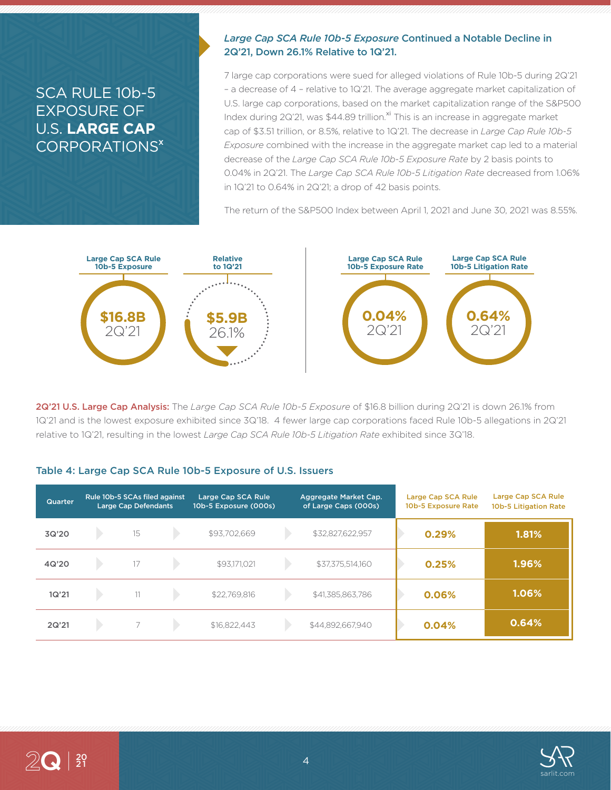# SCA RULE 10b-5 EXPOSURE OF U.S. **LARGE CAP** CORPORATIONS<sup>x</sup>

### *Large Cap SCA Rule 10b-5 Exposure* Continued a Notable Decline in 2Q'21, Down 26.1% Relative to 1Q'21.

7 large cap corporations were sued for alleged violations of Rule 10b-5 during 2Q'21 – a decrease of 4 – relative to 1Q'21. The average aggregate market capitalization of U.S. large cap corporations, based on the market capitalization range of the S&P500 Index during 2Q'21, was  $$44.89$  trillion.<sup>xi</sup> This is an increase in aggregate market cap of \$3.51 trillion, or 8.5%, relative to 1Q'21. The decrease in *Large Cap Rule 10b-5 Exposure* combined with the increase in the aggregate market cap led to a material decrease of the *Large Cap SCA Rule 10b-5 Exposure Rate* by 2 basis points to 0.04% in 2Q'21. The *Large Cap SCA Rule 10b-5 Litigation Rate* decreased from 1.06% in 1Q'21 to 0.64% in 2Q'21; a drop of 42 basis points.

The return of the S&P500 Index between April 1, 2021 and June 30, 2021 was 8.55%.



2Q'21 U.S. Large Cap Analysis: The *Large Cap SCA Rule 10b-5 Exposure* of \$16.8 billion during 2Q'21 is down 26.1% from 1Q'21 and is the lowest exposure exhibited since 3Q'18. 4 fewer large cap corporations faced Rule 10b-5 allegations in 2Q'21 relative to 1Q'21, resulting in the lowest *Large Cap SCA Rule 10b-5 Litigation Rate* exhibited since 3Q'18.

### Table 4: Large Cap SCA Rule 10b-5 Exposure of U.S. Issuers

| Quarter | Rule 10b-5 SCAs filed against<br><b>Large Cap Defendants</b> |                          | Large Cap SCA Rule<br>10b-5 Exposure (000s) |              | Aggregate Market Cap.<br>of Large Caps (000s) | Large Cap SCA Rule<br>10b-5 Exposure Rate | Large Cap SCA Rule<br>10b-5 Litigation Rate |       |
|---------|--------------------------------------------------------------|--------------------------|---------------------------------------------|--------------|-----------------------------------------------|-------------------------------------------|---------------------------------------------|-------|
| 3Q'20   |                                                              | 15                       |                                             | \$93,702,669 |                                               | \$32,827,622,957                          | 0.29%                                       | 1.81% |
| 4Q'20   |                                                              | 17                       |                                             | \$93,171,021 |                                               | \$37,375,514,160                          | 0.25%                                       | 1.96% |
| 1Q'21   |                                                              | 11                       |                                             | \$22,769.816 |                                               | \$41,385,863,786                          | 0.06%                                       | 1.06% |
| 2Q'21   |                                                              | $\overline{\phantom{1}}$ |                                             | \$16,822,443 |                                               | \$44,892,667,940                          | 0.04%                                       | 0.64% |

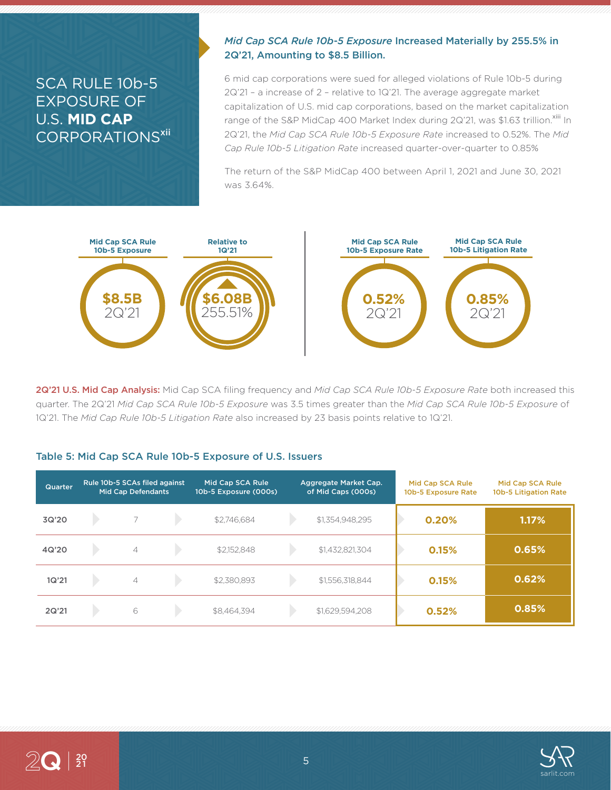# SCA RULE 10b-5 EXPOSURE OF U.S. **MID CAP** CORPORATIONS<sup>xii</sup>

## *Mid Cap SCA Rule 10b-5 Exposure* Increased Materially by 255.5% in 2Q'21, Amounting to \$8.5 Billion.

6 mid cap corporations were sued for alleged violations of Rule 10b-5 during 2Q'21 – a increase of 2 – relative to 1Q'21. The average aggregate market capitalization of U.S. mid cap corporations, based on the market capitalization range of the S&P MidCap 400 Market Index during 2Q'21, was \$1.63 trillion.<sup>xiii</sup> In 2Q'21, the *Mid Cap SCA Rule 10b-5 Exposure Rate* increased to 0.52%. The *Mid Cap Rule 10b-5 Litigation Rate* increased quarter-over-quarter to 0.85%

The return of the S&P MidCap 400 between April 1, 2021 and June 30, 2021 was 3.64%.



2Q'21 U.S. Mid Cap Analysis: Mid Cap SCA filing frequency and *Mid Cap SCA Rule 10b-5 Exposure Rate* both increased this quarter. The 2Q'21 *Mid Cap SCA Rule 10b-5 Exposure* was 3.5 times greater than the *Mid Cap SCA Rule 10b-5 Exposure* of 1Q'21. The *Mid Cap Rule 10b-5 Litigation Rate* also increased by 23 basis points relative to 1Q'21.

### Table 5: Mid Cap SCA Rule 10b-5 Exposure of U.S. Issuers

| <b>Quarter</b> | Rule 10b-5 SCAs filed against<br><b>Mid Cap Defendants</b> |                | Mid Cap SCA Rule<br>10b-5 Exposure (000s) |             | Aggregate Market Cap.<br>of Mid Caps (000s) | Mid Cap SCA Rule<br>10b-5 Exposure Rate | Mid Cap SCA Rule<br>10b-5 Litigation Rate |       |
|----------------|------------------------------------------------------------|----------------|-------------------------------------------|-------------|---------------------------------------------|-----------------------------------------|-------------------------------------------|-------|
| 3Q'20          |                                                            |                |                                           | \$2,746,684 |                                             | \$1,354,948,295                         | 0.20%                                     | 1.17% |
| 4Q'20          |                                                            | $\overline{4}$ |                                           | \$2,152,848 |                                             | \$1,432,821,304                         | 0.15%                                     | 0.65% |
| 1Q'21          |                                                            | $\overline{4}$ |                                           | \$2.380.893 |                                             | \$1,556,318,844                         | 0.15%                                     | 0.62% |
| 2Q'21          |                                                            | 6              |                                           | \$8.464.394 |                                             | \$1,629,594,208                         | 0.52%                                     | 0.85% |

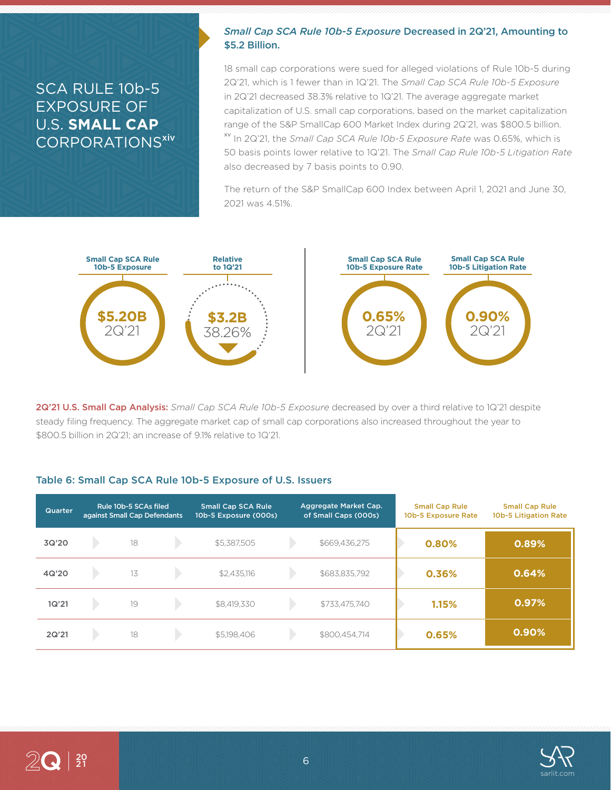# SCA RULE 10b-5 EXPOSURE OF U.S. **SMALL CAP** CORPORATIONS<sup>xiv</sup>

### *Small Cap SCA Rule 10b-5 Exposure* Decreased in 2Q'21, Amounting to \$5.2 Billion.

18 small cap corporations were sued for alleged violations of Rule 10b-5 during 2Q'21, which is 1 fewer than in 1Q'21. The *Small Cap SCA Rule 10b-5 Exposure* in 2Q'21 decreased 38.3% relative to 1Q'21. The average aggregate market capitalization of U.S. small cap corporations, based on the market capitalization range of the S&P SmallCap 600 Market Index during 2Q'21, was \$800.5 billion. xv In 2Q'21, the *Small Cap SCA Rule 10b-5 Exposure Rate* was 0.65%, which is 50 basis points lower relative to 1Q'21. The *Small Cap Rule 10b-5 Litigation Rate* also decreased by 7 basis points to 0.90.

The return of the S&P SmallCap 600 Index between April 1, 2021 and June 30, 2021 was 4.51%.



2Q'21 U.S. Small Cap Analysis: *Small Cap SCA Rule 10b-5 Exposure* decreased by over a third relative to 1Q'21 despite steady filing frequency. The aggregate market cap of small cap corporations also increased throughout the year to \$800.5 billion in 2Q'21; an increase of 9.1% relative to 1Q'21.

#### Table 6: Small Cap SCA Rule 10b-5 Exposure of U.S. Issuers

| Quarter | Rule 10b-5 SCAs filed<br>against Small Cap Defendants |    | <b>Small Cap SCA Rule</b><br>10b-5 Exposure (000s) | Aggregate Market Cap.<br>of Small Caps (000s) |  | <b>Small Cap Rule</b><br>10b-5 Exposure Rate | <b>Small Cap Rule</b><br>10b-5 Litigation Rate |       |
|---------|-------------------------------------------------------|----|----------------------------------------------------|-----------------------------------------------|--|----------------------------------------------|------------------------------------------------|-------|
| 3Q'20   |                                                       | 18 |                                                    | \$5,387,505                                   |  | \$669,436,275                                | 0.80%                                          | 0.89% |
| 4Q'20   |                                                       | 13 |                                                    | \$2,435,116                                   |  | \$683,835,792                                | 0.36%                                          | 0.64% |
| 1Q'21   |                                                       | 19 |                                                    | \$8,419,330                                   |  | \$733,475,740                                | 1.15%                                          | 0.97% |
| 2Q'21   |                                                       | 18 |                                                    | \$5,198,406                                   |  | \$800,454,714                                | 0.65%                                          | 0.90% |

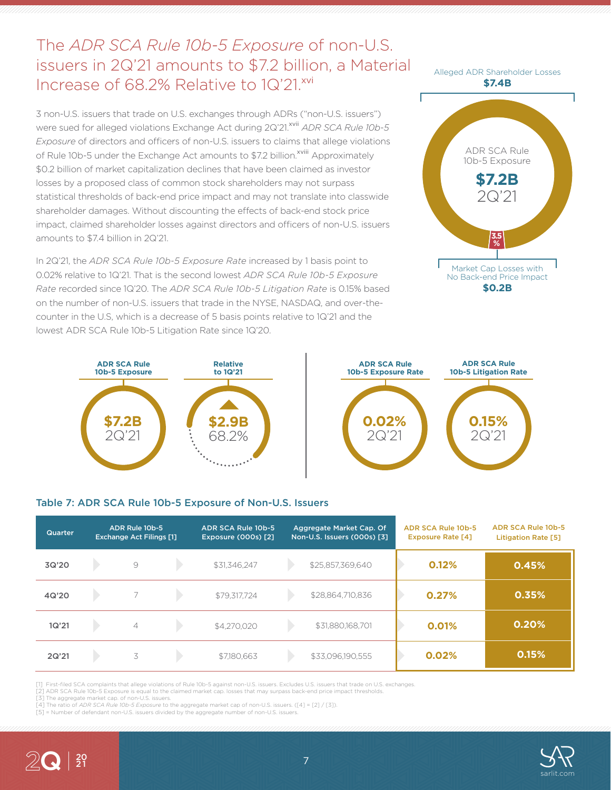# The *ADR SCA Rule 10b-5 Exposure* of non-U.S. issuers in 2Q'21 amounts to \$7.2 billion, a Material Increase of 68.2% Relative to 1Q'21.xvi

3 non-U.S. issuers that trade on U.S. exchanges through ADRs ("non-U.S. issuers") were sued for alleged violations Exchange Act during 2Q'21.<sup>xvii</sup> *ADR SCA Rule 10b-5 Exposure* of directors and officers of non-U.S. issuers to claims that allege violations of Rule 10b-5 under the Exchange Act amounts to \$7.2 billion.<sup>xviii</sup> Approximately \$0.2 billion of market capitalization declines that have been claimed as investor losses by a proposed class of common stock shareholders may not surpass statistical thresholds of back-end price impact and may not translate into classwide shareholder damages. Without discounting the effects of back-end stock price impact, claimed shareholder losses against directors and officers of non-U.S. issuers amounts to \$7.4 billion in 2Q'21.

In 2Q'21, the *ADR SCA Rule 10b-5 Exposure Rate* increased by 1 basis point to 0.02% relative to 1Q'21. That is the second lowest *ADR SCA Rule 10b-5 Exposure Rate* recorded since 1Q'20. The *ADR SCA Rule 10b-5 Litigation Rate* is 0.15% based on the number of non-U.S. issuers that trade in the NYSE, NASDAQ, and over-thecounter in the U.S, which is a decrease of 5 basis points relative to 1Q'21 and the lowest ADR SCA Rule 10b-5 Litigation Rate since 1Q'20.







#### Table 7: ADR SCA Rule 10b-5 Exposure of Non-U.S. Issuers

| Quarter | ADR Rule 10b-5<br><b>Exchange Act Filings [1]</b> |                | ADR SCA Rule 10b-5<br><b>Exposure (000s) [2]</b> | Aggregate Market Cap. Of<br>Non-U.S. Issuers (000s) [3] |  | ADR SCA Rule 10b-5<br><b>Exposure Rate [4]</b> | ADR SCA Rule 10b-5<br><b>Litigation Rate [5]</b> |       |
|---------|---------------------------------------------------|----------------|--------------------------------------------------|---------------------------------------------------------|--|------------------------------------------------|--------------------------------------------------|-------|
| 3Q'20   |                                                   | $\circ$        |                                                  | \$31,346,247                                            |  | \$25,857,369,640                               | 0.12%                                            | 0.45% |
| 4Q'20   |                                                   |                |                                                  | \$79,317,724                                            |  | \$28,864,710,836                               | 0.27%                                            | 0.35% |
| 1Q'21   |                                                   | $\overline{4}$ |                                                  | \$4,270,020                                             |  | \$31,880,168,701                               | 0.01%                                            | 0.20% |
| 2Q'21   |                                                   | 3              |                                                  | \$7,180,663                                             |  | \$33,096,190,555                               | 0.02%                                            | 0.15% |

[1] First-filed SCA complaints that allege violations of Rule 10b-5 against non-U.S. issuers. Excludes U.S. issuers that trade on U.S. exchanges.

[2] ADR SCA Rule 10b-5 Exposure is equal to the claimed market cap. losses that may surpass back-end price impact thresholds. [3] The aggregate market cap. of non-U.S. issuers.

[4] The ratio of *ADR SCA Rule 10b-5 Exposure* to the aggregate market cap of non-U.S. issuers. ([4] = [2] / [3]).

[5] = Number of defendant non-U.S. issuers divided by the aggregate number of non-U.S. issuers.



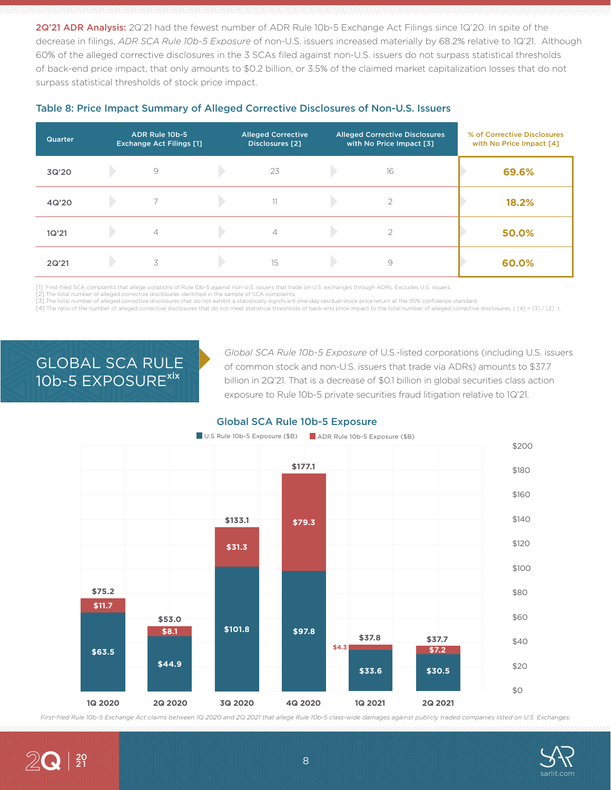2Q'21 ADR Analysis: 2Q'21 had the fewest number of ADR Rule 10b-5 Exchange Act Filings since 1Q'20. In spite of the decrease in filings, *ADR SCA Rule 10b-5 Exposure* of non-U.S. issuers increased materially by 68.2% relative to 1Q'21. Although 60% of the alleged corrective disclosures in the 3 SCAs filed against non-U.S. issuers do not surpass statistical thresholds of back-end price impact, that only amounts to \$0.2 billion, or 3.5% of the claimed market capitalization losses that do not surpass statistical thresholds of stock price impact.

| <b>Quarter</b> | ADR Rule 10b-5<br><b>Exchange Act Filings [1]</b> | <b>Alleged Corrective</b><br><b>Disclosures</b> [2] | <b>Alleged Corrective Disclosures</b><br>with No Price Impact [3] | % of Corrective Disclosures<br>with No Price Impact [4] |
|----------------|---------------------------------------------------|-----------------------------------------------------|-------------------------------------------------------------------|---------------------------------------------------------|
| 3Q'20          | 9                                                 | 23                                                  | 16                                                                | 69.6%                                                   |
| 4Q'20          |                                                   | 11                                                  |                                                                   | 18.2%                                                   |
| 1Q'21          | $\overline{4}$                                    | $\overline{4}$                                      | ⌒                                                                 | 50.0%                                                   |
| 2Q'21          | 3                                                 | 15                                                  | 9                                                                 | 60.0%                                                   |

#### Table 8: Price Impact Summary of Alleged Corrective Disclosures of Non-U.S. Issuers

[1] First-filed SCA complaints that allege violations of Rule 10b-5 against non-U.S. issuers that trade on U.S. exchanges through ADRs. Excludes U.S. issuers.

[2] The total number of alleged corrective disclosures identified in the sample of SCA complaints.

[3] The total number of alleged corrective disclosures that do not exhibit a statistically significant one-day residual stock price return at the 95% confidence standard.

[4] The ratio of the number of alleged corrective disclosures that do not meet statistical thresholds of back-end price impact to the total number of alleged corrective disclosures. ([4] = [3] / [2] ).

# GLOBAL SCA RULE 10b-5 EXPOSURE<sup>xix</sup>

2Q

20

*Global SCA Rule 10b-5 Exposure* of U.S.-listed corporations (including U.S. issuers of common stock and non-U.S. issuers that trade via ADRs) amounts to \$37.7 billion in 2Q'21. That is a decrease of \$0.1 billion in global securities class action exposure to Rule 10b-5 private securities fraud litigation relative to 1Q'21.



## Global SCA Rule 10b-5 Exposure

*First-filed Rule 10b-5 Exchange Act claims between 1Q 2020 and 2Q 2021 that allege Rule 10b-5 class-wide damages against publicly traded companies listed on U.S. Exchanges.*